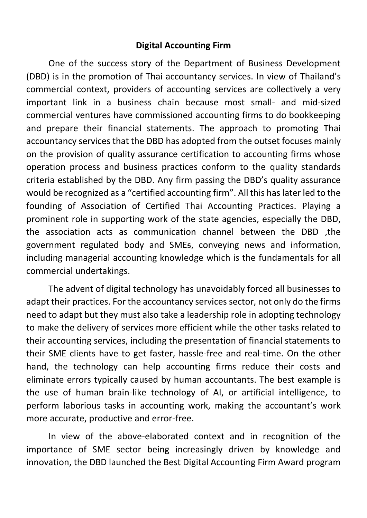#### **Digital Accounting Firm**

One of the success story of the Department of Business Development (DBD) is in the promotion of Thai accountancy services. In view of Thailand's commercial context, providers of accounting services are collectively a very important link in a business chain because most small- and mid-sized commercial ventures have commissioned accounting firms to do bookkeeping and prepare their financial statements. The approach to promoting Thai accountancy services that the DBD has adopted from the outset focuses mainly on the provision of quality assurance certification to accounting firms whose operation process and business practices conform to the quality standards criteria established by the DBD. Any firm passing the DBD's quality assurance would be recognized as a "certified accounting firm". All this has later led to the founding of Association of Certified Thai Accounting Practices. Playing a prominent role in supporting work of the state agencies, especially the DBD, the association acts as communication channel between the DBD ,the government regulated body and SMEs, conveying news and information, including managerial accounting knowledge which is the fundamentals for all commercial undertakings.

The advent of digital technology has unavoidably forced all businesses to adapt their practices. For the accountancy services sector, not only do the firms need to adapt but they must also take a leadership role in adopting technology to make the delivery of services more efficient while the other tasks related to their accounting services, including the presentation of financial statements to their SME clients have to get faster, hassle-free and real-time. On the other hand, the technology can help accounting firms reduce their costs and eliminate errors typically caused by human accountants. The best example is the use of human brain-like technology of AI, or artificial intelligence, to perform laborious tasks in accounting work, making the accountant's work more accurate, productive and error-free.

In view of the above-elaborated context and in recognition of the importance of SME sector being increasingly driven by knowledge and innovation, the DBD launched the Best Digital Accounting Firm Award program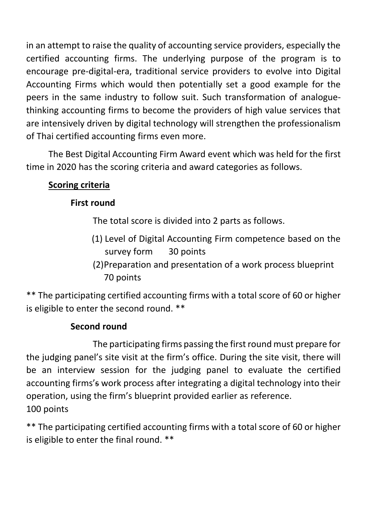in an attempt to raise the quality of accounting service providers, especially the certified accounting firms. The underlying purpose of the program is to encourage pre-digital-era, traditional service providers to evolve into Digital Accounting Firms which would then potentially set a good example for the peers in the same industry to follow suit. Such transformation of analoguethinking accounting firms to become the providers of high value services that are intensively driven by digital technology will strengthen the professionalism of Thai certified accounting firms even more.

The Best Digital Accounting Firm Award event which was held for the first time in 2020 has the scoring criteria and award categories as follows.

# **Scoring criteria**

### **First round**

The total score is divided into 2 parts as follows.

- (1) Level of Digital Accounting Firm competence based on the survey form 30 points
- (2)Preparation and presentation of a work process blueprint 70 points

\*\* The participating certified accounting firms with a total score of 60 or higher is eligible to enter the second round. \*\*

## **Second round**

The participating firms passing the first round must prepare for the judging panel's site visit at the firm's office. During the site visit, there will be an interview session for the judging panel to evaluate the certified accounting firms's work process after integrating a digital technology into their operation, using the firm's blueprint provided earlier as reference. 100 points

\*\* The participating certified accounting firms with a total score of 60 or higher is eligible to enter the final round. \*\*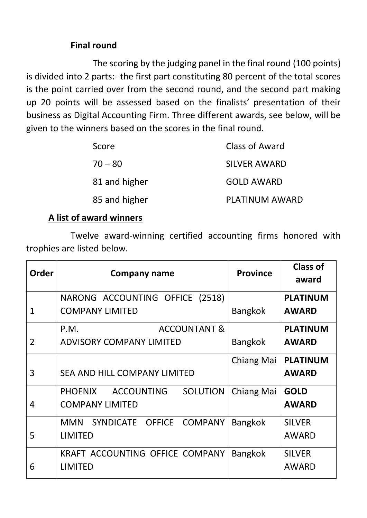### **Final round**

The scoring by the judging panel in the final round (100 points) is divided into 2 parts:- the first part constituting 80 percent of the total scores is the point carried over from the second round, and the second part making up 20 points will be assessed based on the finalists' presentation of their business as Digital Accounting Firm. Three different awards, see below, will be given to the winners based on the scores in the final round.

| Score         | Class of Award        |
|---------------|-----------------------|
| $70 - 80$     | <b>SILVER AWARD</b>   |
| 81 and higher | <b>GOLD AWARD</b>     |
| 85 and higher | <b>PLATINUM AWARD</b> |

### **A list of award winners**

Twelve award-winning certified accounting firms honored with trophies are listed below.

| <b>Order</b>   | <b>Company name</b>                                                              | <b>Province</b> | <b>Class of</b><br>award        |
|----------------|----------------------------------------------------------------------------------|-----------------|---------------------------------|
| 1              | NARONG ACCOUNTING OFFICE (2518)<br><b>COMPANY LIMITED</b>                        | <b>Bangkok</b>  | <b>PLATINUM</b><br><b>AWARD</b> |
|                | <b>ACCOUNTANT &amp;</b><br>P.M.                                                  |                 | <b>PLATINUM</b>                 |
| $\overline{2}$ | <b>ADVISORY COMPANY LIMITED</b>                                                  | <b>Bangkok</b>  | <b>AWARD</b>                    |
| 3              | SEA AND HILL COMPANY LIMITED                                                     | Chiang Mai      | <b>PLATINUM</b><br><b>AWARD</b> |
| 4              | <b>ACCOUNTING</b><br><b>SOLUTION</b><br><b>PHOENIX</b><br><b>COMPANY LIMITED</b> | Chiang Mai      | <b>GOLD</b><br><b>AWARD</b>     |
| 5              | SYNDICATE OFFICE<br><b>COMPANY</b><br><b>MMN</b><br><b>LIMITED</b>               | <b>Bangkok</b>  | <b>SILVER</b><br><b>AWARD</b>   |
| 6              | KRAFT ACCOUNTING OFFICE COMPANY<br><b>LIMITED</b>                                | <b>Bangkok</b>  | <b>SILVER</b><br><b>AWARD</b>   |